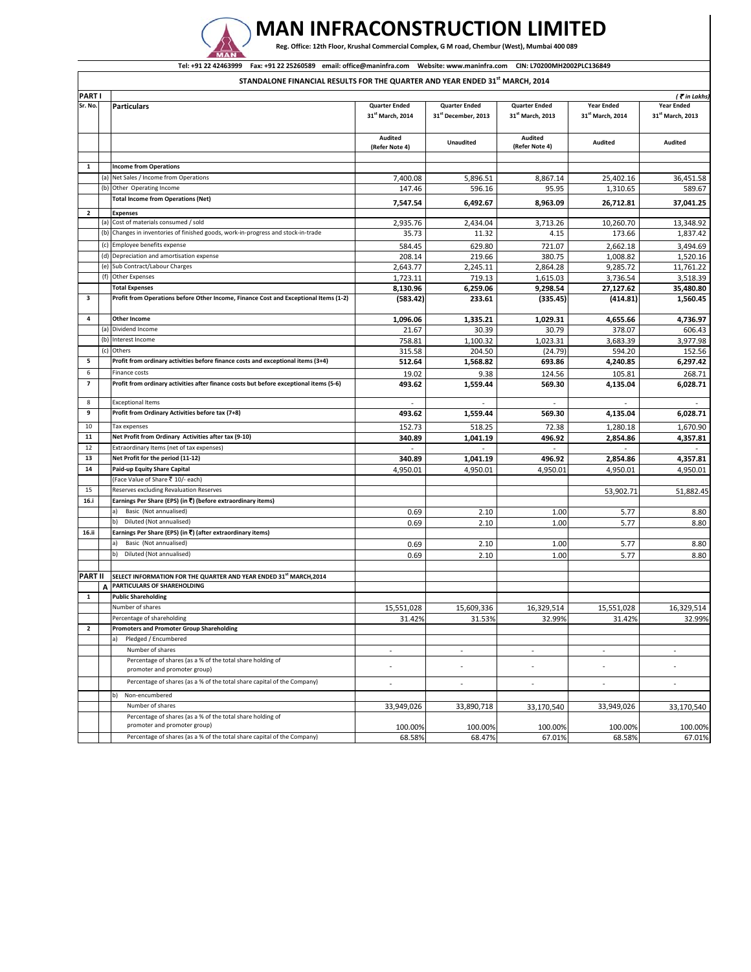

## **MAN INFRACONSTRUCTION LIMITED**

Reg. Office: 12th Floor, Krushal Commercial Complex, G M road, Chembur (West), Mumbai 400 089

## Tel: +91 22 42463999 Fax: +91 22 25260589 email: office@maninfra.com Website: www.maninfra.com CIN: L70200MH2002PLC136849

**STANDALONE FINANCIAL RESULTS FOR THE QUARTER AND YEAR ENDED 31st MARCH, 2014**

| PART I                   |     |                                                                                        |                              |                                 |                              |                              | $($ $\bar{\mathbf{z}}$ in Lakhs |
|--------------------------|-----|----------------------------------------------------------------------------------------|------------------------------|---------------------------------|------------------------------|------------------------------|---------------------------------|
| Sr. No.                  |     | <b>Particulars</b>                                                                     | <b>Quarter Ended</b>         | <b>Quarter Ended</b>            | <b>Quarter Ended</b>         | <b>Year Ended</b>            | <b>Year Ended</b>               |
|                          |     |                                                                                        | 31 <sup>st</sup> March, 2014 | 31 <sup>st</sup> December, 2013 | 31 <sup>st</sup> March, 2013 | 31 <sup>st</sup> March, 2014 | 31 <sup>st</sup> March, 2013    |
|                          |     |                                                                                        |                              |                                 |                              |                              |                                 |
|                          |     |                                                                                        |                              |                                 |                              |                              |                                 |
|                          |     |                                                                                        | Audited                      | <b>Unaudited</b>                | Audited                      | Audited                      | Audited                         |
|                          |     |                                                                                        | (Refer Note 4)               |                                 | (Refer Note 4)               |                              |                                 |
|                          |     |                                                                                        |                              |                                 |                              |                              |                                 |
| 1                        |     | <b>Income from Operations</b>                                                          |                              |                                 |                              |                              |                                 |
|                          |     | (a) Net Sales / Income from Operations                                                 | 7,400.08                     | 5,896.51                        | 8,867.14                     | 25,402.16                    | 36,451.58                       |
|                          | (b) | Other Operating Income                                                                 | 147.46                       | 596.16                          | 95.95                        | 1,310.65                     | 589.67                          |
|                          |     | <b>Total Income from Operations (Net)</b>                                              | 7,547.54                     | 6,492.67                        | 8,963.09                     | 26,712.81                    | 37,041.25                       |
| $\overline{2}$           |     | <b>Expenses</b>                                                                        |                              |                                 |                              |                              |                                 |
|                          | (a) | Cost of materials consumed / sold                                                      | 2,935.76                     | 2,434.04                        | 3,713.26                     | 10,260.70                    | 13,348.92                       |
|                          | (b) | Changes in inventories of finished goods, work-in-progress and stock-in-trade          |                              |                                 |                              |                              |                                 |
|                          |     |                                                                                        | 35.73                        | 11.32                           | 4.15                         | 173.66                       | 1,837.42                        |
|                          | (c) | Employee benefits expense                                                              | 584.45                       | 629.80                          | 721.07                       | 2,662.18                     | 3,494.69                        |
|                          | (d) | Depreciation and amortisation expense                                                  | 208.14                       | 219.66                          | 380.75                       | 1,008.82                     | 1,520.16                        |
|                          | (e) | Sub Contract/Labour Charges                                                            | 2,643.77                     | 2,245.11                        | 2,864.28                     | 9,285.72                     | 11.761.22                       |
|                          | (f) | Other Expenses                                                                         | 1,723.11                     | 719.13                          | 1,615.03                     | 3,736.54                     | 3,518.39                        |
|                          |     | <b>Total Expenses</b>                                                                  | 8,130.96                     | 6,259.06                        | 9,298.54                     | 27,127.62                    | 35,480.80                       |
| 3                        |     | Profit from Operations before Other Income, Finance Cost and Exceptional Items (1-2)   | (583.42)                     | 233.61                          | (335.45)                     | (414.81)                     | 1,560.45                        |
|                          |     |                                                                                        |                              |                                 |                              |                              |                                 |
| 4                        |     | Other Income                                                                           | 1,096.06                     | 1,335.21                        | 1,029.31                     | 4,655.66                     | 4,736.97                        |
|                          | (a) | Dividend Income                                                                        |                              |                                 |                              |                              |                                 |
|                          |     |                                                                                        | 21.67                        | 30.39                           | 30.79                        | 378.07                       | 606.43                          |
|                          | (b) | Interest Income                                                                        | 758.81                       | 1,100.32                        | 1.023.31                     | 3,683.39                     | 3,977.98                        |
|                          | (c) | Others                                                                                 | 315.58                       | 204.50                          | (24.79)                      | 594.20                       | 152.56                          |
| 5                        |     | Profit from ordinary activities before finance costs and exceptional items (3+4)       | 512.64                       | 1,568.82                        | 693.86                       | 4,240.85                     | 6,297.42                        |
| 6                        |     | Finance costs                                                                          | 19.02                        | 9.38                            | 124.56                       | 105.81                       | 268.71                          |
| $\overline{\phantom{a}}$ |     | Profit from ordinary activities after finance costs but before exceptional items (5-6) | 493.62                       | 1,559.44                        | 569.30                       | 4,135.04                     | 6,028.71                        |
|                          |     |                                                                                        |                              |                                 |                              |                              |                                 |
| 8                        |     | <b>Exceptional Items</b>                                                               | $\overline{\phantom{a}}$     | ÷                               | $\sim$                       | $\overline{a}$               |                                 |
| 9                        |     | Profit from Ordinary Activities before tax (7+8)                                       | 493.62                       | 1,559.44                        | 569.30                       | 4,135.04                     | 6,028.71                        |
|                          |     |                                                                                        |                              |                                 |                              |                              |                                 |
| 10                       |     | Tax expenses                                                                           | 152.73                       | 518.25                          | 72.38                        | 1,280.18                     | 1,670.90                        |
| 11                       |     | Net Profit from Ordinary Activities after tax (9-10)                                   | 340.89                       | 1,041.19                        | 496.92                       | 2,854.86                     | 4,357.81                        |
| 12                       |     | Extraordinary Items (net of tax expenses)                                              |                              |                                 |                              |                              |                                 |
| 13                       |     | Net Profit for the period (11-12)                                                      | 340.89                       | 1,041.19                        | 496.92                       | 2,854.86                     | 4,357.81                        |
| 14                       |     | Paid-up Equity Share Capital                                                           | 4,950.01                     | 4,950.01                        | 4,950.01                     | 4,950.01                     | 4,950.01                        |
|                          |     | (Face Value of Share ₹ 10/- each)                                                      |                              |                                 |                              |                              |                                 |
| 15                       |     | Reserves excluding Revaluation Reserves                                                |                              |                                 |                              | 53,902.71                    | 51,882.45                       |
| 16.i                     |     | Earnings Per Share (EPS) (in ₹) (before extraordinary items)                           |                              |                                 |                              |                              |                                 |
|                          |     | Basic (Not annualised)<br>a)                                                           | 0.69                         | 2.10                            | 1.00                         | 5.77                         | 8.80                            |
|                          |     | Diluted (Not annualised)<br>b)                                                         | 0.69                         | 2.10                            | 1.00                         | 5.77                         | 8.80                            |
| 16.ii                    |     | Earnings Per Share (EPS) (in ₹) (after extraordinary items)                            |                              |                                 |                              |                              |                                 |
|                          |     |                                                                                        |                              |                                 |                              |                              |                                 |
|                          |     | Basic (Not annualised)                                                                 | 0.69                         | 2.10                            | 1.00                         | 5.77                         | 8.80                            |
|                          |     | Diluted (Not annualised)<br>b)                                                         | 0.69                         | 2.10                            | 1.00                         | 5.77                         | 8.80                            |
|                          |     |                                                                                        |                              |                                 |                              |                              |                                 |
| <b>PART II</b>           |     | SELECT INFORMATION FOR THE QUARTER AND YEAR ENDED 31 <sup>st</sup> MARCH, 2014         |                              |                                 |                              |                              |                                 |
|                          | A   | PARTICULARS OF SHAREHOLDING                                                            |                              |                                 |                              |                              |                                 |
| $\mathbf{1}$             |     | <b>Public Shareholding</b>                                                             |                              |                                 |                              |                              |                                 |
|                          |     | Number of shares                                                                       | 15,551,028                   | 15,609,336                      | 16,329,514                   | 15,551,028                   | 16,329,514                      |
|                          |     | Percentage of shareholding                                                             | 31.42%                       | 31.53%                          | 32.99%                       | 31.42%                       | 32.99%                          |
| $\mathbf{2}$             |     | <b>Promoters and Promoter Group Shareholding</b>                                       |                              |                                 |                              |                              |                                 |
|                          |     |                                                                                        |                              |                                 |                              |                              |                                 |
|                          |     | a)<br>Pleaged / Encumbered                                                             |                              |                                 |                              |                              |                                 |
|                          |     | Number of shares                                                                       |                              | $\overline{\phantom{a}}$        | $\overline{\phantom{a}}$     | $\overline{\phantom{a}}$     |                                 |
|                          |     | Percentage of shares (as a % of the total share holding of                             |                              | ÷,                              |                              | ٠                            |                                 |
|                          |     | promoter and promoter group)                                                           |                              |                                 |                              |                              |                                 |
|                          |     | Percentage of shares (as a % of the total share capital of the Company)                | $\overline{\phantom{a}}$     | $\overline{\phantom{a}}$        | $\overline{\phantom{a}}$     | $\overline{\phantom{a}}$     | $\overline{\phantom{a}}$        |
|                          |     | b)<br>Non-encumbered                                                                   |                              |                                 |                              |                              |                                 |
|                          |     | Number of shares                                                                       |                              |                                 |                              | 33,949,026                   |                                 |
|                          |     |                                                                                        | 33,949,026                   | 33,890,718                      | 33,170,540                   |                              | 33,170,540                      |
|                          |     | Percentage of shares (as a % of the total share holding of                             |                              |                                 |                              |                              |                                 |
|                          |     | promoter and promoter group)                                                           | 100.00%                      | 100.00%                         | 100.00%                      | 100.00%                      | 100.00%                         |
|                          |     | Percentage of shares (as a % of the total share capital of the Company)                | 68.58%                       | 68.47%                          | 67.01%                       | 68.58%                       | 67.01%                          |